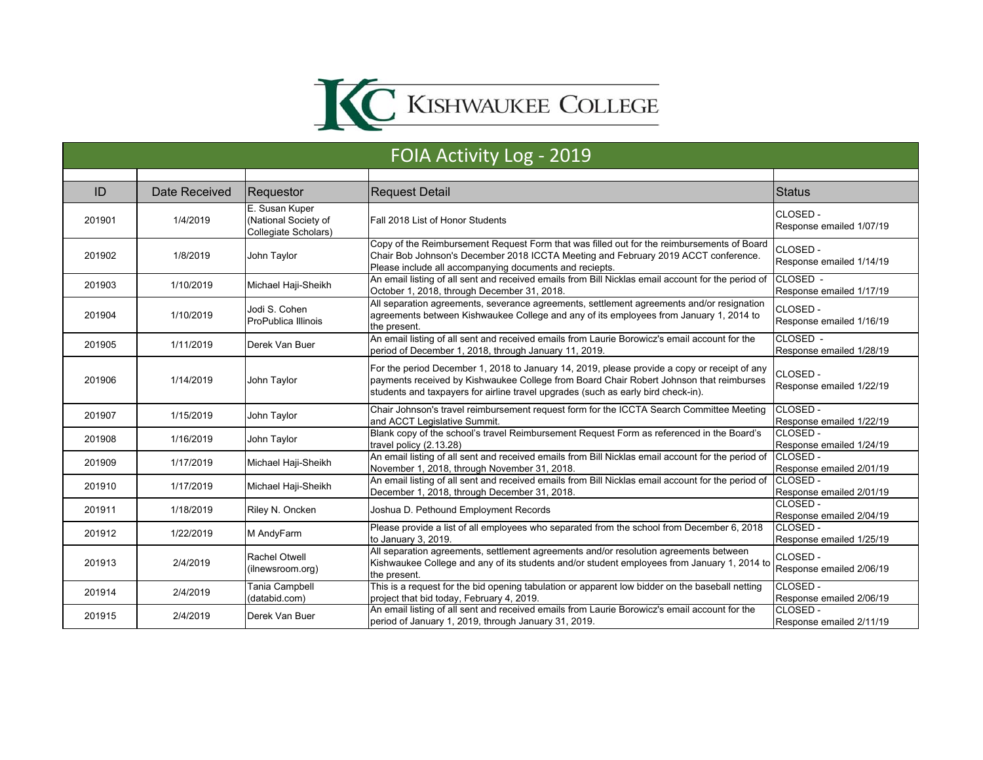

| FOIA Activity Log - 2019 |               |                                                                |                                                                                                                                                                                                                                                                              |                                      |
|--------------------------|---------------|----------------------------------------------------------------|------------------------------------------------------------------------------------------------------------------------------------------------------------------------------------------------------------------------------------------------------------------------------|--------------------------------------|
|                          |               |                                                                |                                                                                                                                                                                                                                                                              |                                      |
| ID                       | Date Received | Requestor                                                      | <b>Request Detail</b>                                                                                                                                                                                                                                                        | <b>Status</b>                        |
| 201901                   | 1/4/2019      | E. Susan Kuper<br>(National Society of<br>Collegiate Scholars) | Fall 2018 List of Honor Students                                                                                                                                                                                                                                             | CLOSED-<br>Response emailed 1/07/19  |
| 201902                   | 1/8/2019      | John Taylor                                                    | Copy of the Reimbursement Request Form that was filled out for the reimbursements of Board<br>Chair Bob Johnson's December 2018 ICCTA Meeting and February 2019 ACCT conference.<br>Please include all accompanying documents and reciepts.                                  | CLOSED-<br>Response emailed 1/14/19  |
| 201903                   | 1/10/2019     | Michael Haji-Sheikh                                            | An email listing of all sent and received emails from Bill Nicklas email account for the period of<br>October 1, 2018, through December 31, 2018.                                                                                                                            | CLOSED -<br>Response emailed 1/17/19 |
| 201904                   | 1/10/2019     | Jodi S. Cohen<br>ProPublica Illinois                           | All separation agreements, severance agreements, settlement agreements and/or resignation<br>agreements between Kishwaukee College and any of its employees from January 1, 2014 to<br>the present.                                                                          | CLOSED-<br>Response emailed 1/16/19  |
| 201905                   | 1/11/2019     | Derek Van Buer                                                 | An email listing of all sent and received emails from Laurie Borowicz's email account for the<br>period of December 1, 2018, through January 11, 2019.                                                                                                                       | CLOSED -<br>Response emailed 1/28/19 |
| 201906                   | 1/14/2019     | John Taylor                                                    | For the period December 1, 2018 to January 14, 2019, please provide a copy or receipt of any<br>payments received by Kishwaukee College from Board Chair Robert Johnson that reimburses<br>students and taxpayers for airline travel upgrades (such as early bird check-in). | CLOSED-<br>Response emailed 1/22/19  |
| 201907                   | 1/15/2019     | John Taylor                                                    | Chair Johnson's travel reimbursement request form for the ICCTA Search Committee Meeting<br>and ACCT Legislative Summit.                                                                                                                                                     | CLOSED-<br>Response emailed 1/22/19  |
| 201908                   | 1/16/2019     | John Taylor                                                    | Blank copy of the school's travel Reimbursement Request Form as referenced in the Board's<br>travel policy (2.13.28)                                                                                                                                                         | CLOSED-<br>Response emailed 1/24/19  |
| 201909                   | 1/17/2019     | Michael Haji-Sheikh                                            | An email listing of all sent and received emails from Bill Nicklas email account for the period of<br>November 1, 2018, through November 31, 2018.                                                                                                                           | CLOSED -<br>Response emailed 2/01/19 |
| 201910                   | 1/17/2019     | Michael Haji-Sheikh                                            | An email listing of all sent and received emails from Bill Nicklas email account for the period of<br>December 1, 2018, through December 31, 2018.                                                                                                                           | CLOSED -<br>Response emailed 2/01/19 |
| 201911                   | 1/18/2019     | Riley N. Oncken                                                | Joshua D. Pethound Employment Records                                                                                                                                                                                                                                        | CLOSED-<br>Response emailed 2/04/19  |
| 201912                   | 1/22/2019     | M AndyFarm                                                     | Please provide a list of all employees who separated from the school from December 6, 2018<br>to January 3, 2019.                                                                                                                                                            | CLOSED -<br>Response emailed 1/25/19 |
| 201913                   | 2/4/2019      | <b>Rachel Otwell</b><br>(ilnewsroom.org)                       | All separation agreements, settlement agreements and/or resolution agreements between<br>Kishwaukee College and any of its students and/or student employees from January 1, 2014 to<br>the present.                                                                         | CLOSED-<br>Response emailed 2/06/19  |
| 201914                   | 2/4/2019      | Tania Campbell<br>(databid.com)                                | This is a request for the bid opening tabulation or apparent low bidder on the baseball netting<br>project that bid today, February 4, 2019.                                                                                                                                 | CLOSED-<br>Response emailed 2/06/19  |
| 201915                   | 2/4/2019      | Derek Van Buer                                                 | An email listing of all sent and received emails from Laurie Borowicz's email account for the<br>period of January 1, 2019, through January 31, 2019.                                                                                                                        | CLOSED-<br>Response emailed 2/11/19  |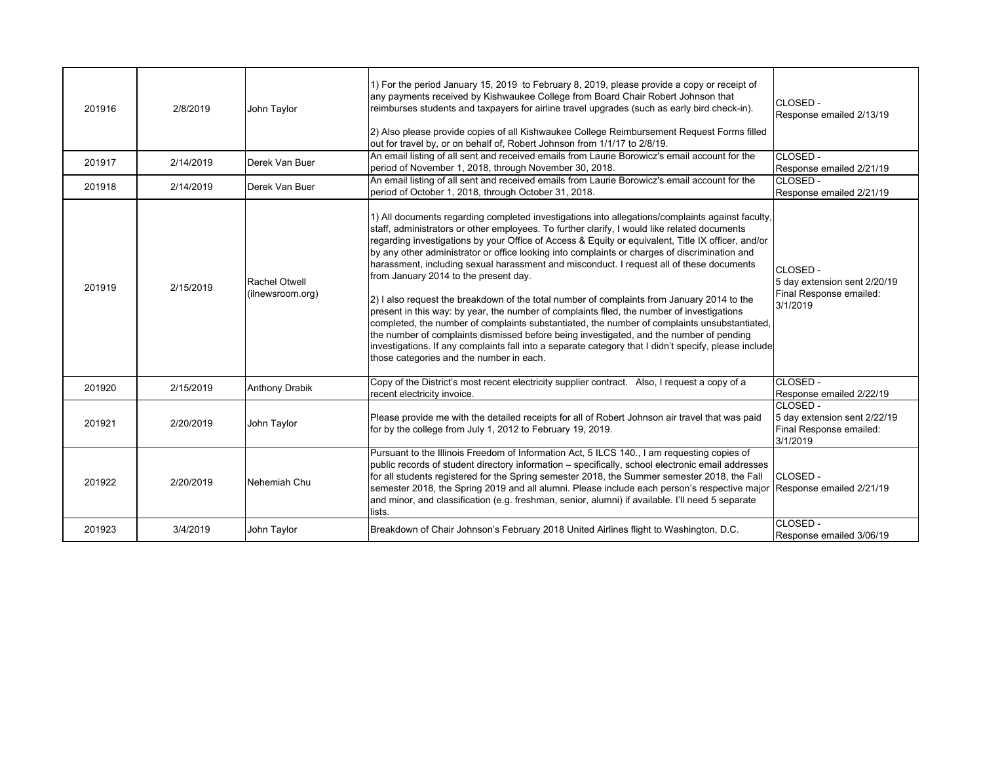| 201916 | 2/8/2019  | John Tavlor                              | 1) For the period January 15, 2019 to February 8, 2019, please provide a copy or receipt of<br>any payments received by Kishwaukee College from Board Chair Robert Johnson that<br>reimburses students and taxpayers for airline travel upgrades (such as early bird check-in).<br>2) Also please provide copies of all Kishwaukee College Reimbursement Request Forms filled<br>out for travel by, or on behalf of, Robert Johnson from 1/1/17 to 2/8/19.                                                                                                                                                                                                                                                                                                                                                                                                                                                                                                                                                                                                                               | CLOSED -<br>Response emailed 2/13/19                                            |
|--------|-----------|------------------------------------------|------------------------------------------------------------------------------------------------------------------------------------------------------------------------------------------------------------------------------------------------------------------------------------------------------------------------------------------------------------------------------------------------------------------------------------------------------------------------------------------------------------------------------------------------------------------------------------------------------------------------------------------------------------------------------------------------------------------------------------------------------------------------------------------------------------------------------------------------------------------------------------------------------------------------------------------------------------------------------------------------------------------------------------------------------------------------------------------|---------------------------------------------------------------------------------|
| 201917 | 2/14/2019 | Derek Van Buer                           | An email listing of all sent and received emails from Laurie Borowicz's email account for the<br>period of November 1, 2018, through November 30, 2018.                                                                                                                                                                                                                                                                                                                                                                                                                                                                                                                                                                                                                                                                                                                                                                                                                                                                                                                                  | CLOSED -<br>Response emailed 2/21/19                                            |
| 201918 | 2/14/2019 | Derek Van Buer                           | An email listing of all sent and received emails from Laurie Borowicz's email account for the<br>period of October 1, 2018, through October 31, 2018.                                                                                                                                                                                                                                                                                                                                                                                                                                                                                                                                                                                                                                                                                                                                                                                                                                                                                                                                    | CLOSED -<br>Response emailed 2/21/19                                            |
| 201919 | 2/15/2019 | <b>Rachel Otwell</b><br>(ilnewsroom.org) | 1) All documents regarding completed investigations into allegations/complaints against faculty,<br>staff, administrators or other employees. To further clarify, I would like related documents<br>regarding investigations by your Office of Access & Equity or equivalent, Title IX officer, and/or<br>by any other administrator or office looking into complaints or charges of discrimination and<br>harassment, including sexual harassment and misconduct. I request all of these documents<br>from January 2014 to the present day.<br>2) I also request the breakdown of the total number of complaints from January 2014 to the<br>present in this way: by year, the number of complaints filed, the number of investigations<br>completed, the number of complaints substantiated, the number of complaints unsubstantiated,<br>the number of complaints dismissed before being investigated, and the number of pending<br>investigations. If any complaints fall into a separate category that I didn't specify, please include<br>those categories and the number in each. | CLOSED -<br>5 day extension sent 2/20/19<br>Final Response emailed:<br>3/1/2019 |
| 201920 | 2/15/2019 | <b>Anthony Drabik</b>                    | Copy of the District's most recent electricity supplier contract. Also, I request a copy of a<br>recent electricity invoice.                                                                                                                                                                                                                                                                                                                                                                                                                                                                                                                                                                                                                                                                                                                                                                                                                                                                                                                                                             | CLOSED -<br>Response emailed 2/22/19                                            |
| 201921 | 2/20/2019 | John Taylor                              | Please provide me with the detailed receipts for all of Robert Johnson air travel that was paid<br>for by the college from July 1, 2012 to February 19, 2019.                                                                                                                                                                                                                                                                                                                                                                                                                                                                                                                                                                                                                                                                                                                                                                                                                                                                                                                            | CLOSED -<br>5 day extension sent 2/22/19<br>Final Response emailed:<br>3/1/2019 |
| 201922 | 2/20/2019 | Nehemiah Chu                             | Pursuant to the Illinois Freedom of Information Act, 5 ILCS 140., I am requesting copies of<br>public records of student directory information – specifically, school electronic email addresses<br>for all students registered for the Spring semester 2018, the Summer semester 2018, the Fall<br>semester 2018, the Spring 2019 and all alumni. Please include each person's respective major<br>and minor, and classification (e.g. freshman, senior, alumni) if available. I'll need 5 separate<br>lists.                                                                                                                                                                                                                                                                                                                                                                                                                                                                                                                                                                           | CLOSED -<br>Response emailed 2/21/19                                            |
| 201923 | 3/4/2019  | John Taylor                              | Breakdown of Chair Johnson's February 2018 United Airlines flight to Washington, D.C.                                                                                                                                                                                                                                                                                                                                                                                                                                                                                                                                                                                                                                                                                                                                                                                                                                                                                                                                                                                                    | $CCLOSED -$<br>Response emailed 3/06/19                                         |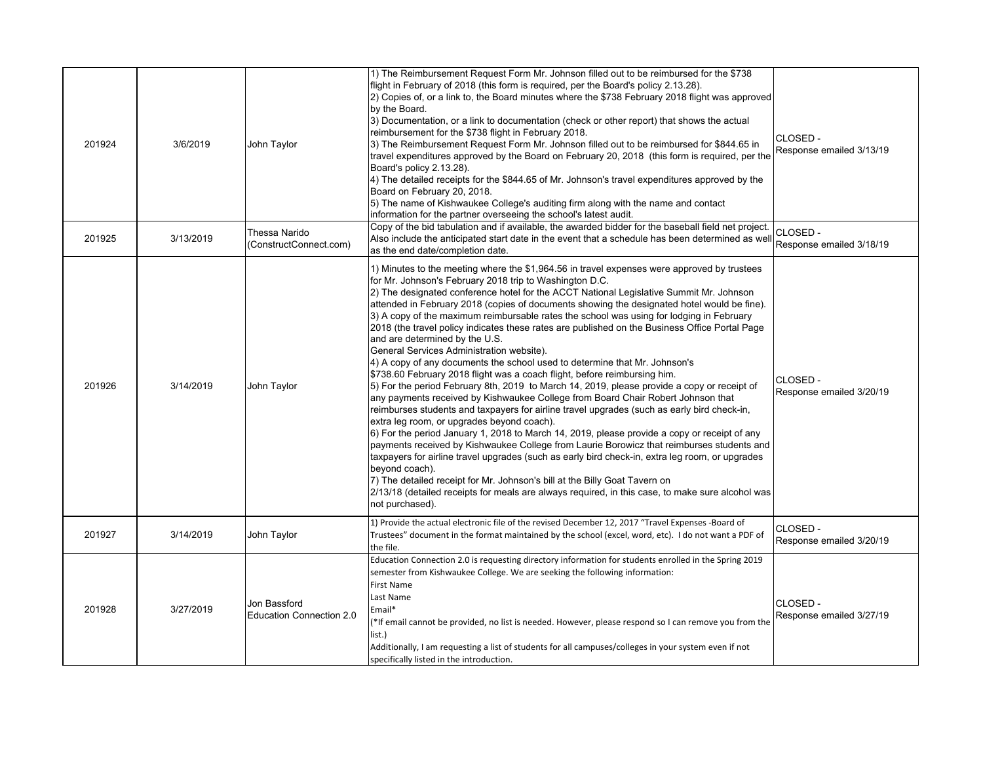| 201924 | 3/6/2019  | John Taylor                                     | 1) The Reimbursement Request Form Mr. Johnson filled out to be reimbursed for the \$738<br>flight in February of 2018 (this form is required, per the Board's policy 2.13.28).<br>2) Copies of, or a link to, the Board minutes where the \$738 February 2018 flight was approved<br>by the Board.<br>3) Documentation, or a link to documentation (check or other report) that shows the actual<br>reimbursement for the \$738 flight in February 2018.<br>3) The Reimbursement Request Form Mr. Johnson filled out to be reimbursed for \$844.65 in<br>travel expenditures approved by the Board on February 20, 2018 (this form is required, per the<br>Board's policy 2.13.28).<br>4) The detailed receipts for the \$844.65 of Mr. Johnson's travel expenditures approved by the<br>Board on February 20, 2018.<br>5) The name of Kishwaukee College's auditing firm along with the name and contact<br>information for the partner overseeing the school's latest audit.                                                                                                                                                                                                                                                                                                                                                                                                                                                                                                                                                                                                                                                                           | CLOSED -<br>Response emailed 3/13/19 |
|--------|-----------|-------------------------------------------------|----------------------------------------------------------------------------------------------------------------------------------------------------------------------------------------------------------------------------------------------------------------------------------------------------------------------------------------------------------------------------------------------------------------------------------------------------------------------------------------------------------------------------------------------------------------------------------------------------------------------------------------------------------------------------------------------------------------------------------------------------------------------------------------------------------------------------------------------------------------------------------------------------------------------------------------------------------------------------------------------------------------------------------------------------------------------------------------------------------------------------------------------------------------------------------------------------------------------------------------------------------------------------------------------------------------------------------------------------------------------------------------------------------------------------------------------------------------------------------------------------------------------------------------------------------------------------------------------------------------------------------------------------------|--------------------------------------|
| 201925 | 3/13/2019 | Thessa Narido<br>(ConstructConnect.com)         | Copy of the bid tabulation and if available, the awarded bidder for the baseball field net project.<br>Also include the anticipated start date in the event that a schedule has been determined as well<br>as the end date/completion date.                                                                                                                                                                                                                                                                                                                                                                                                                                                                                                                                                                                                                                                                                                                                                                                                                                                                                                                                                                                                                                                                                                                                                                                                                                                                                                                                                                                                              | CLOSED -<br>Response emailed 3/18/19 |
| 201926 | 3/14/2019 | John Taylor                                     | 1) Minutes to the meeting where the \$1,964.56 in travel expenses were approved by trustees<br>for Mr. Johnson's February 2018 trip to Washington D.C.<br>2) The designated conference hotel for the ACCT National Legislative Summit Mr. Johnson<br>attended in February 2018 (copies of documents showing the designated hotel would be fine).<br>3) A copy of the maximum reimbursable rates the school was using for lodging in February<br>2018 (the travel policy indicates these rates are published on the Business Office Portal Page<br>and are determined by the U.S.<br>General Services Administration website).<br>4) A copy of any documents the school used to determine that Mr. Johnson's<br>\$738.60 February 2018 flight was a coach flight, before reimbursing him.<br>5) For the period February 8th, 2019 to March 14, 2019, please provide a copy or receipt of<br>any payments received by Kishwaukee College from Board Chair Robert Johnson that<br>reimburses students and taxpayers for airline travel upgrades (such as early bird check-in,<br>extra leg room, or upgrades beyond coach).<br>$\vert 6$ ) For the period January 1, 2018 to March 14, 2019, please provide a copy or receipt of any<br>payments received by Kishwaukee College from Laurie Borowicz that reimburses students and<br>taxpayers for airline travel upgrades (such as early bird check-in, extra leg room, or upgrades<br>beyond coach).<br>7) The detailed receipt for Mr. Johnson's bill at the Billy Goat Tavern on<br>2/13/18 (detailed receipts for meals are always required, in this case, to make sure alcohol was<br>not purchased). | CLOSED -<br>Response emailed 3/20/19 |
| 201927 | 3/14/2019 | John Taylor                                     | 1) Provide the actual electronic file of the revised December 12, 2017 "Travel Expenses -Board of<br>Trustees" document in the format maintained by the school (excel, word, etc). I do not want a PDF of<br>the file.                                                                                                                                                                                                                                                                                                                                                                                                                                                                                                                                                                                                                                                                                                                                                                                                                                                                                                                                                                                                                                                                                                                                                                                                                                                                                                                                                                                                                                   | CLOSED-<br>Response emailed 3/20/19  |
| 201928 | 3/27/2019 | Jon Bassford<br><b>Education Connection 2.0</b> | Education Connection 2.0 is requesting directory information for students enrolled in the Spring 2019<br>semester from Kishwaukee College. We are seeking the following information:<br>First Name<br>Last Name<br>Email*<br>(*If email cannot be provided, no list is needed. However, please respond so I can remove you from the<br>list.)<br>Additionally, I am requesting a list of students for all campuses/colleges in your system even if not<br>specifically listed in the introduction.                                                                                                                                                                                                                                                                                                                                                                                                                                                                                                                                                                                                                                                                                                                                                                                                                                                                                                                                                                                                                                                                                                                                                       | CLOSED -<br>Response emailed 3/27/19 |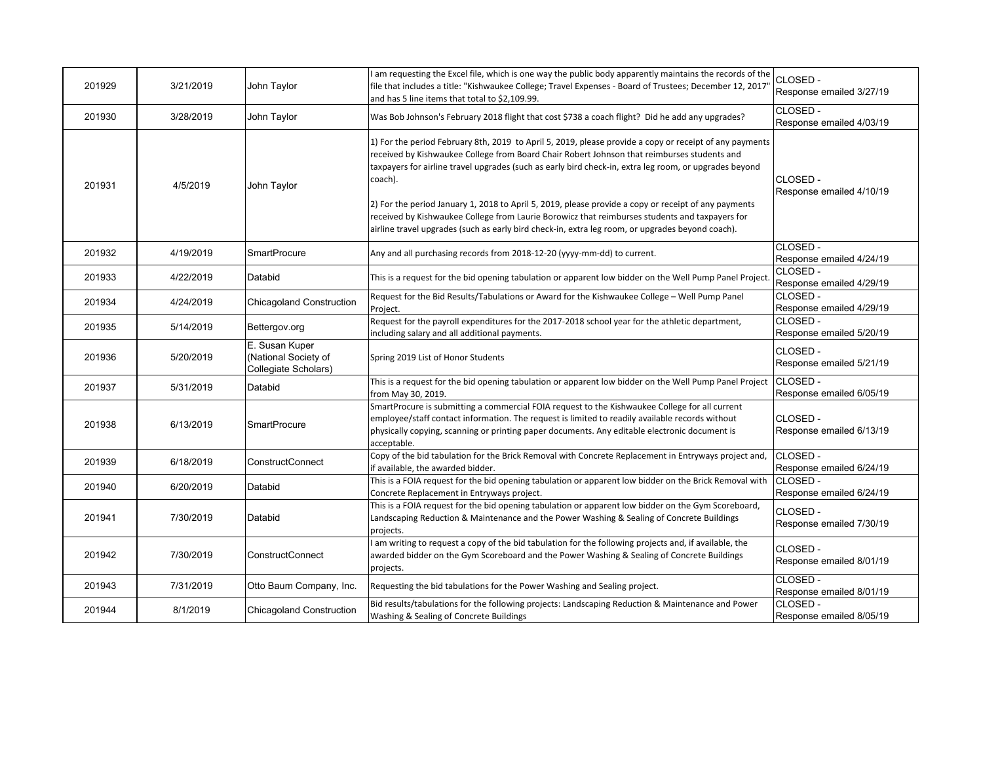| 201929 | 3/21/2019 | John Taylor                                                    | I am requesting the Excel file, which is one way the public body apparently maintains the records of the<br>file that includes a title: "Kishwaukee College; Travel Expenses - Board of Trustees; December 12, 2017<br>and has 5 line items that total to \$2,109.99.                                                                                                                                                                                                                                                                                                                                                                     | CLOSED -<br>Response emailed 3/27/19 |
|--------|-----------|----------------------------------------------------------------|-------------------------------------------------------------------------------------------------------------------------------------------------------------------------------------------------------------------------------------------------------------------------------------------------------------------------------------------------------------------------------------------------------------------------------------------------------------------------------------------------------------------------------------------------------------------------------------------------------------------------------------------|--------------------------------------|
| 201930 | 3/28/2019 | John Taylor                                                    | Was Bob Johnson's February 2018 flight that cost \$738 a coach flight? Did he add any upgrades?                                                                                                                                                                                                                                                                                                                                                                                                                                                                                                                                           | CLOSED -<br>Response emailed 4/03/19 |
| 201931 | 4/5/2019  | John Taylor                                                    | 1) For the period February 8th, 2019 to April 5, 2019, please provide a copy or receipt of any payments<br>received by Kishwaukee College from Board Chair Robert Johnson that reimburses students and<br>taxpayers for airline travel upgrades (such as early bird check-in, extra leg room, or upgrades beyond<br>coach).<br>2) For the period January 1, 2018 to April 5, 2019, please provide a copy or receipt of any payments<br>received by Kishwaukee College from Laurie Borowicz that reimburses students and taxpayers for<br>airline travel upgrades (such as early bird check-in, extra leg room, or upgrades beyond coach). | CLOSED -<br>Response emailed 4/10/19 |
| 201932 | 4/19/2019 | <b>SmartProcure</b>                                            | Any and all purchasing records from 2018-12-20 (yyyy-mm-dd) to current.                                                                                                                                                                                                                                                                                                                                                                                                                                                                                                                                                                   | CLOSED -<br>Response emailed 4/24/19 |
| 201933 | 4/22/2019 | Databid                                                        | This is a request for the bid opening tabulation or apparent low bidder on the Well Pump Panel Project                                                                                                                                                                                                                                                                                                                                                                                                                                                                                                                                    | CLOSED -<br>Response emailed 4/29/19 |
| 201934 | 4/24/2019 | <b>Chicagoland Construction</b>                                | Request for the Bid Results/Tabulations or Award for the Kishwaukee College - Well Pump Panel<br>Project.                                                                                                                                                                                                                                                                                                                                                                                                                                                                                                                                 | CLOSED-<br>Response emailed 4/29/19  |
| 201935 | 5/14/2019 | Bettergov.org                                                  | Request for the payroll expenditures for the 2017-2018 school year for the athletic department,<br>including salary and all additional payments.                                                                                                                                                                                                                                                                                                                                                                                                                                                                                          | CLOSED -<br>Response emailed 5/20/19 |
| 201936 | 5/20/2019 | E. Susan Kuper<br>(National Society of<br>Collegiate Scholars) | Spring 2019 List of Honor Students                                                                                                                                                                                                                                                                                                                                                                                                                                                                                                                                                                                                        | CLOSED -<br>Response emailed 5/21/19 |
| 201937 | 5/31/2019 | Databid                                                        | This is a request for the bid opening tabulation or apparent low bidder on the Well Pump Panel Project<br>from May 30, 2019.                                                                                                                                                                                                                                                                                                                                                                                                                                                                                                              | CLOSED -<br>Response emailed 6/05/19 |
| 201938 | 6/13/2019 | <b>SmartProcure</b>                                            | SmartProcure is submitting a commercial FOIA request to the Kishwaukee College for all current<br>employee/staff contact information. The request is limited to readily available records without<br>physically copying, scanning or printing paper documents. Any editable electronic document is<br>acceptable.                                                                                                                                                                                                                                                                                                                         | CLOSED-<br>Response emailed 6/13/19  |
| 201939 | 6/18/2019 | ConstructConnect                                               | Copy of the bid tabulation for the Brick Removal with Concrete Replacement in Entryways project and,<br>if available, the awarded bidder.                                                                                                                                                                                                                                                                                                                                                                                                                                                                                                 | CLOSED -<br>Response emailed 6/24/19 |
| 201940 | 6/20/2019 | Databid                                                        | This is a FOIA request for the bid opening tabulation or apparent low bidder on the Brick Removal with<br>Concrete Replacement in Entryways project.                                                                                                                                                                                                                                                                                                                                                                                                                                                                                      | CLOSED -<br>Response emailed 6/24/19 |
| 201941 | 7/30/2019 | Databid                                                        | This is a FOIA request for the bid opening tabulation or apparent low bidder on the Gym Scoreboard,<br>Landscaping Reduction & Maintenance and the Power Washing & Sealing of Concrete Buildings<br>projects.                                                                                                                                                                                                                                                                                                                                                                                                                             | CLOSED -<br>Response emailed 7/30/19 |
| 201942 | 7/30/2019 | <b>ConstructConnect</b>                                        | I am writing to request a copy of the bid tabulation for the following projects and, if available, the<br>awarded bidder on the Gym Scoreboard and the Power Washing & Sealing of Concrete Buildings<br>projects.                                                                                                                                                                                                                                                                                                                                                                                                                         | CLOSED -<br>Response emailed 8/01/19 |
| 201943 | 7/31/2019 | Otto Baum Company, Inc.                                        | Requesting the bid tabulations for the Power Washing and Sealing project.                                                                                                                                                                                                                                                                                                                                                                                                                                                                                                                                                                 | CLOSED -<br>Response emailed 8/01/19 |
| 201944 | 8/1/2019  | <b>Chicagoland Construction</b>                                | Bid results/tabulations for the following projects: Landscaping Reduction & Maintenance and Power<br>Washing & Sealing of Concrete Buildings                                                                                                                                                                                                                                                                                                                                                                                                                                                                                              | CLOSED -<br>Response emailed 8/05/19 |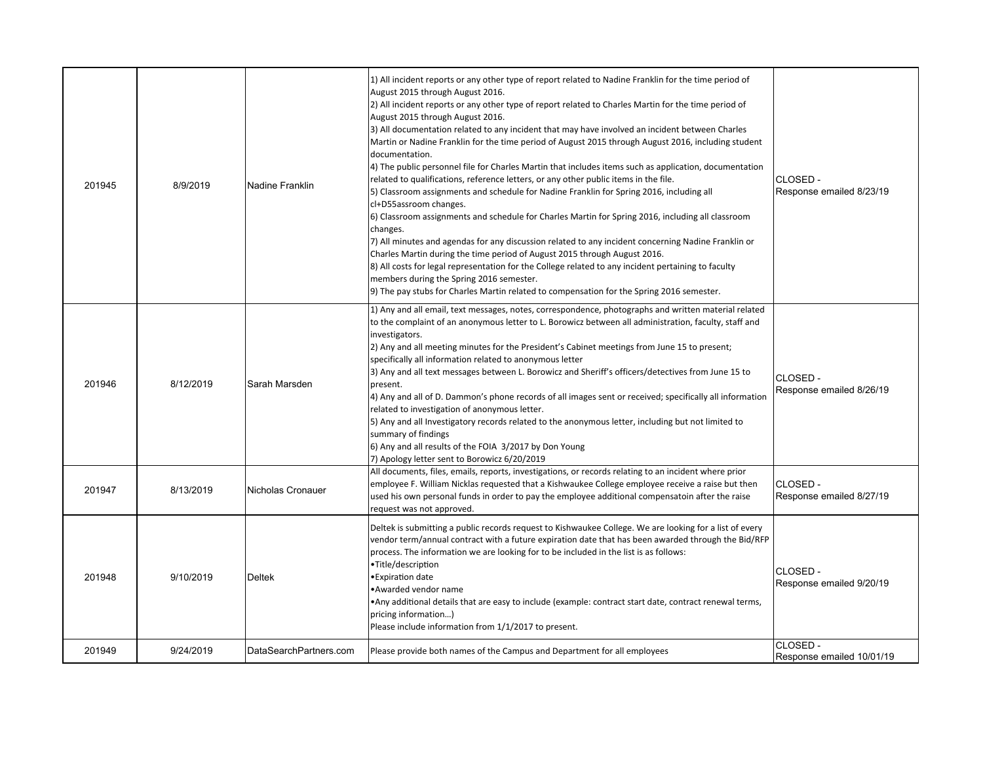| 201945 | 8/9/2019  | <b>Nadine Franklin</b> | 1) All incident reports or any other type of report related to Nadine Franklin for the time period of<br>August 2015 through August 2016.<br>[2] All incident reports or any other type of report related to Charles Martin for the time period of<br>August 2015 through August 2016.<br>3) All documentation related to any incident that may have involved an incident between Charles<br>Martin or Nadine Franklin for the time period of August 2015 through August 2016, including student<br>documentation.<br>4) The public personnel file for Charles Martin that includes items such as application, documentation<br>related to qualifications, reference letters, or any other public items in the file.<br>5) Classroom assignments and schedule for Nadine Franklin for Spring 2016, including all<br>cl+D55assroom changes.<br>6) Classroom assignments and schedule for Charles Martin for Spring 2016, including all classroom<br>changes.<br>7) All minutes and agendas for any discussion related to any incident concerning Nadine Franklin or<br>Charles Martin during the time period of August 2015 through August 2016.<br>8) All costs for legal representation for the College related to any incident pertaining to faculty<br>members during the Spring 2016 semester.<br>9) The pay stubs for Charles Martin related to compensation for the Spring 2016 semester. | ICLOSED -<br>Response emailed 8/23/19       |
|--------|-----------|------------------------|-------------------------------------------------------------------------------------------------------------------------------------------------------------------------------------------------------------------------------------------------------------------------------------------------------------------------------------------------------------------------------------------------------------------------------------------------------------------------------------------------------------------------------------------------------------------------------------------------------------------------------------------------------------------------------------------------------------------------------------------------------------------------------------------------------------------------------------------------------------------------------------------------------------------------------------------------------------------------------------------------------------------------------------------------------------------------------------------------------------------------------------------------------------------------------------------------------------------------------------------------------------------------------------------------------------------------------------------------------------------------------------------------|---------------------------------------------|
| 201946 | 8/12/2019 | Sarah Marsden          | 1) Any and all email, text messages, notes, correspondence, photographs and written material related<br>to the complaint of an anonymous letter to L. Borowicz between all administration, faculty, staff and<br>investigators.<br>[2] Any and all meeting minutes for the President's Cabinet meetings from June 15 to present;<br>specifically all information related to anonymous letter<br>3) Any and all text messages between L. Borowicz and Sheriff's officers/detectives from June 15 to<br>present.<br>4) Any and all of D. Dammon's phone records of all images sent or received; specifically all information<br>related to investigation of anonymous letter.<br>5) Any and all Investigatory records related to the anonymous letter, including but not limited to<br>summary of findings<br>6) Any and all results of the FOIA 3/2017 by Don Young<br>7) Apology letter sent to Borowicz 6/20/2019                                                                                                                                                                                                                                                                                                                                                                                                                                                                              | CLOSED -<br>Response emailed 8/26/19        |
| 201947 | 8/13/2019 | Nicholas Cronauer      | All documents, files, emails, reports, investigations, or records relating to an incident where prior<br>employee F. William Nicklas requested that a Kishwaukee College employee receive a raise but then<br>used his own personal funds in order to pay the employee additional compensatoin after the raise<br>request was not approved.                                                                                                                                                                                                                                                                                                                                                                                                                                                                                                                                                                                                                                                                                                                                                                                                                                                                                                                                                                                                                                                     | <b>CLOSED -</b><br>Response emailed 8/27/19 |
| 201948 | 9/10/2019 | <b>Deltek</b>          | Deltek is submitting a public records request to Kishwaukee College. We are looking for a list of every<br>vendor term/annual contract with a future expiration date that has been awarded through the Bid/RFP<br>process. The information we are looking for to be included in the list is as follows:<br>•Title/description<br>•Expiration date<br>•Awarded vendor name<br>•Any additional details that are easy to include (example: contract start date, contract renewal terms,<br>pricing information)<br>Please include information from 1/1/2017 to present.                                                                                                                                                                                                                                                                                                                                                                                                                                                                                                                                                                                                                                                                                                                                                                                                                            | CLOSED -<br>Response emailed 9/20/19        |
| 201949 | 9/24/2019 | DataSearchPartners.com | Please provide both names of the Campus and Department for all employees                                                                                                                                                                                                                                                                                                                                                                                                                                                                                                                                                                                                                                                                                                                                                                                                                                                                                                                                                                                                                                                                                                                                                                                                                                                                                                                        | CLOSED -<br>Response emailed 10/01/19       |